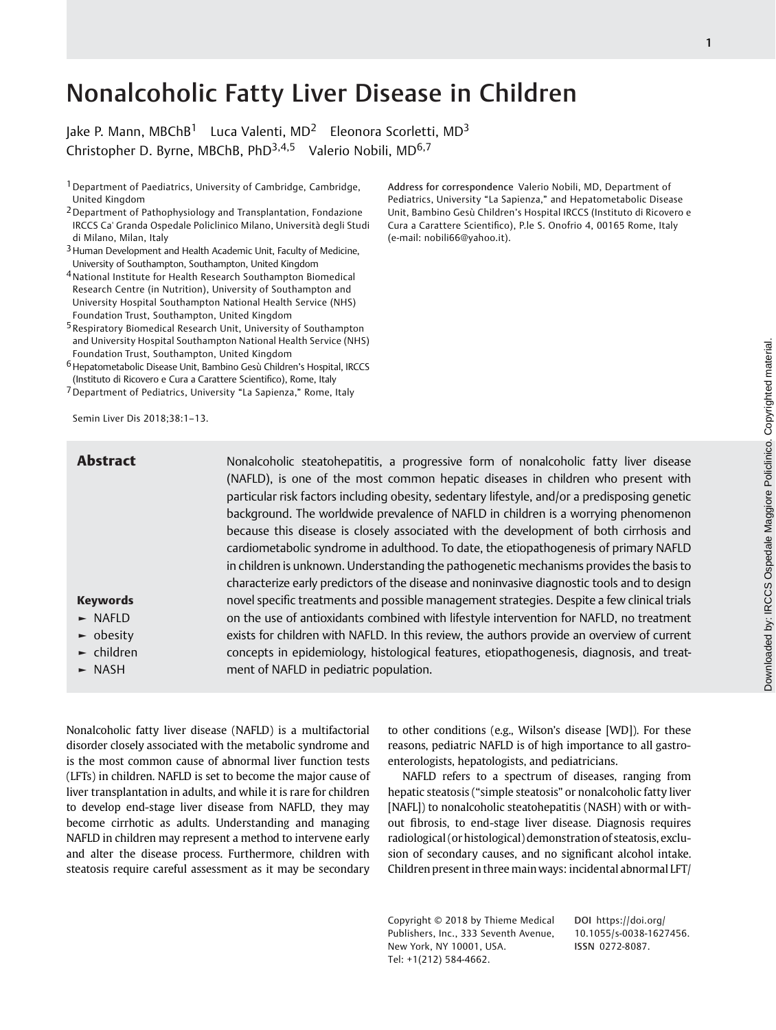# Nonalcoholic Fatty Liver Disease in Children

Jake P. Mann, MBChB<sup>1</sup> Luca Valenti, MD<sup>2</sup> Eleonora Scorletti, MD<sup>3</sup> Christopher D. Byrne, MBChB, PhD<sup>3,4,5</sup> Valerio Nobili, MD<sup>6,7</sup>

2Department of Pathophysiology and Transplantation, Fondazione IRCCS Ca' Granda Ospedale Policlinico Milano, Università degli Studi di Milano, Milan, Italy

<sup>3</sup> Human Development and Health Academic Unit, Faculty of Medicine, University of Southampton, Southampton, United Kingdom

4National Institute for Health Research Southampton Biomedical Research Centre (in Nutrition), University of Southampton and University Hospital Southampton National Health Service (NHS) Foundation Trust, Southampton, United Kingdom

5Respiratory Biomedical Research Unit, University of Southampton and University Hospital Southampton National Health Service (NHS) Foundation Trust, Southampton, United Kingdom

6Hepatometabolic Disease Unit, Bambino Gesù Children's Hospital, IRCCS (Instituto di Ricovero e Cura a Carattere Scientifico), Rome, Italy

<sup>7</sup> Department of Pediatrics, University "La Sapienza," Rome, Italy

Semin Liver Dis 2018;38:1–13.

Keywords ► NAFLD ► obesity ► children ► NASH

Abstract Nonalcoholic steatohepatitis, a progressive form of nonalcoholic fatty liver disease (NAFLD), is one of the most common hepatic diseases in children who present with particular risk factors including obesity, sedentary lifestyle, and/or a predisposing genetic background. The worldwide prevalence of NAFLD in children is a worrying phenomenon because this disease is closely associated with the development of both cirrhosis and cardiometabolic syndrome in adulthood. To date, the etiopathogenesis of primary NAFLD in children is unknown. Understanding the pathogenetic mechanisms provides the basis to characterize early predictors of the disease and noninvasive diagnostic tools and to design novel specific treatments and possible management strategies. Despite a few clinical trials on the use of antioxidants combined with lifestyle intervention for NAFLD, no treatment exists for children with NAFLD. In this review, the authors provide an overview of current concepts in epidemiology, histological features, etiopathogenesis, diagnosis, and treatment of NAFLD in pediatric population.

Nonalcoholic fatty liver disease (NAFLD) is a multifactorial disorder closely associated with the metabolic syndrome and is the most common cause of abnormal liver function tests (LFTs) in children. NAFLD is set to become the major cause of liver transplantation in adults, and while it is rare for children to develop end-stage liver disease from NAFLD, they may become cirrhotic as adults. Understanding and managing NAFLD in children may represent a method to intervene early and alter the disease process. Furthermore, children with steatosis require careful assessment as it may be secondary

to other conditions (e.g., Wilson's disease [WD]). For these reasons, pediatric NAFLD is of high importance to all gastroenterologists, hepatologists, and pediatricians.

NAFLD refers to a spectrum of diseases, ranging from hepatic steatosis ("simple steatosis" or nonalcoholic fatty liver [NAFL]) to nonalcoholic steatohepatitis (NASH) with or without fibrosis, to end-stage liver disease. Diagnosis requires radiological (or histological) demonstration of steatosis, exclusion of secondary causes, and no significant alcohol intake. Children present in three mainways: incidental abnormal LFT/

Copyright © 2018 by Thieme Medical Publishers, Inc., 333 Seventh Avenue, New York, NY 10001, USA. Tel: +1(212) 584-4662.

DOI [https://doi.org/](https://doi.org/10.1055/s-0038-1627456) [10.1055/s-0038-1627456](https://doi.org/10.1055/s-0038-1627456). ISSN 0272-8087.

1

Address for correspondence Valerio Nobili, MD, Department of Pediatrics, University "La Sapienza," and Hepatometabolic Disease Unit, Bambino Gesù Children's Hospital IRCCS (Instituto di Ricovero e Cura a Carattere Scientifico), P.le S. Onofrio 4, 00165 Rome, Italy (e-mail: [nobili66@yahoo.it](mailto:nobili66@yahoo.it)).

<sup>1</sup>Department of Paediatrics, University of Cambridge, Cambridge, United Kingdom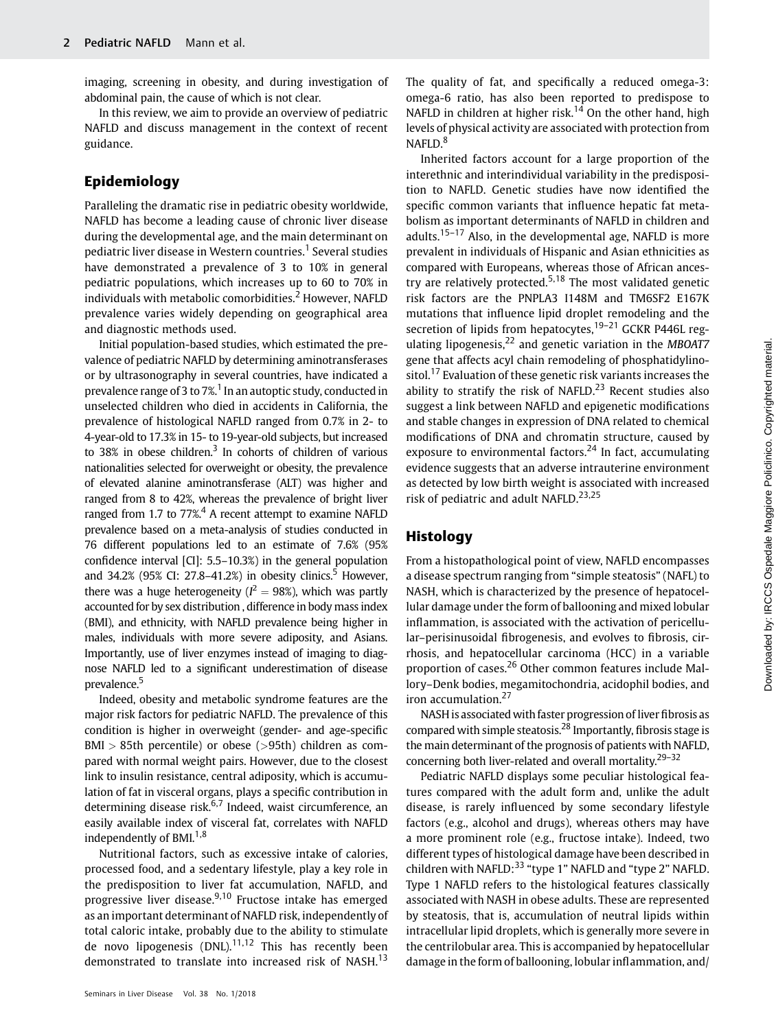imaging, screening in obesity, and during investigation of abdominal pain, the cause of which is not clear.

In this review, we aim to provide an overview of pediatric NAFLD and discuss management in the context of recent guidance.

# Epidemiology

Paralleling the dramatic rise in pediatric obesity worldwide, NAFLD has become a leading cause of chronic liver disease during the developmental age, and the main determinant on pediatric liver disease in Western countries.<sup>1</sup> Several studies have demonstrated a prevalence of 3 to 10% in general pediatric populations, which increases up to 60 to 70% in individuals with metabolic comorbidities.<sup>2</sup> However, NAFLD prevalence varies widely depending on geographical area and diagnostic methods used.

Initial population-based studies, which estimated the prevalence of pediatric NAFLD by determining aminotransferases or by ultrasonography in several countries, have indicated a prevalence range of 3 to 7%.<sup>1</sup> In an autoptic study, conducted in unselected children who died in accidents in California, the prevalence of histological NAFLD ranged from 0.7% in 2- to 4-year-old to 17.3% in 15- to 19-year-old subjects, but increased to 38% in obese children. $3 \text{ In}$  cohorts of children of various nationalities selected for overweight or obesity, the prevalence of elevated alanine aminotransferase (ALT) was higher and ranged from 8 to 42%, whereas the prevalence of bright liver ranged from 1.7 to 77%.<sup>4</sup> A recent attempt to examine NAFLD prevalence based on a meta-analysis of studies conducted in 76 different populations led to an estimate of 7.6% (95% confidence interval [CI]: 5.5–10.3%) in the general population and 34.2% (95% CI: 27.8–41.2%) in obesity clinics.<sup>5</sup> However, there was a huge heterogeneity ( $l^2 = 98\%$ ), which was partly accounted for by sex distribution , difference in body mass index (BMI), and ethnicity, with NAFLD prevalence being higher in males, individuals with more severe adiposity, and Asians. Importantly, use of liver enzymes instead of imaging to diagnose NAFLD led to a significant underestimation of disease prevalence.<sup>5</sup>

Indeed, obesity and metabolic syndrome features are the major risk factors for pediatric NAFLD. The prevalence of this condition is higher in overweight (gender- and age-specific  $BMI > 85$ th percentile) or obese ( $> 95$ th) children as compared with normal weight pairs. However, due to the closest link to insulin resistance, central adiposity, which is accumulation of fat in visceral organs, plays a specific contribution in determining disease risk. $6,7$  Indeed, waist circumference, an easily available index of visceral fat, correlates with NAFLD independently of BMI. $1,8$ 

Nutritional factors, such as excessive intake of calories, processed food, and a sedentary lifestyle, play a key role in the predisposition to liver fat accumulation, NAFLD, and progressive liver disease.<sup>9,10</sup> Fructose intake has emerged as an important determinant of NAFLD risk, independently of total caloric intake, probably due to the ability to stimulate de novo lipogenesis  $(DNL)^{11,12}$  This has recently been demonstrated to translate into increased risk of NASH.<sup>13</sup>

The quality of fat, and specifically a reduced omega-3: omega-6 ratio, has also been reported to predispose to NAFLD in children at higher risk.<sup>14</sup> On the other hand, high levels of physical activity are associated with protection from NAFLD.<sup>8</sup>

Inherited factors account for a large proportion of the interethnic and interindividual variability in the predisposition to NAFLD. Genetic studies have now identified the specific common variants that influence hepatic fat metabolism as important determinants of NAFLD in children and adults.<sup>15–17</sup> Also, in the developmental age, NAFLD is more prevalent in individuals of Hispanic and Asian ethnicities as compared with Europeans, whereas those of African ancestry are relatively protected.<sup>5,18</sup> The most validated genetic risk factors are the PNPLA3 I148M and TM6SF2 E167K mutations that influence lipid droplet remodeling and the secretion of lipids from hepatocytes,<sup>19–21</sup> GCKR P446L regulating lipogenesis, $^{22}$  and genetic variation in the MBOAT7 gene that affects acyl chain remodeling of phosphatidylinositol.<sup>17</sup> Evaluation of these genetic risk variants increases the ability to stratify the risk of NAFLD.<sup>23</sup> Recent studies also suggest a link between NAFLD and epigenetic modifications and stable changes in expression of DNA related to chemical modifications of DNA and chromatin structure, caused by exposure to environmental factors.<sup>24</sup> In fact, accumulating evidence suggests that an adverse intrauterine environment as detected by low birth weight is associated with increased risk of pediatric and adult NAFLD.<sup>23,25</sup>

# Histology

From a histopathological point of view, NAFLD encompasses a disease spectrum ranging from "simple steatosis" (NAFL) to NASH, which is characterized by the presence of hepatocellular damage under the form of ballooning and mixed lobular inflammation, is associated with the activation of pericellular–perisinusoidal fibrogenesis, and evolves to fibrosis, cirrhosis, and hepatocellular carcinoma (HCC) in a variable proportion of cases.<sup>26</sup> Other common features include Mallory–Denk bodies, megamitochondria, acidophil bodies, and iron accumulation.<sup>27</sup>

NASH is associated with faster progression of liver fibrosis as compared with simple steatosis.<sup>28</sup> Importantly, fibrosis stage is the main determinant of the prognosis of patients with NAFLD, concerning both liver-related and overall mortality.<sup>29–32</sup>

Pediatric NAFLD displays some peculiar histological features compared with the adult form and, unlike the adult disease, is rarely influenced by some secondary lifestyle factors (e.g., alcohol and drugs), whereas others may have a more prominent role (e.g., fructose intake). Indeed, two different types of histological damage have been described in children with NAFLD:<sup>33</sup> "type 1" NAFLD and "type 2" NAFLD. Type 1 NAFLD refers to the histological features classically associated with NASH in obese adults. These are represented by steatosis, that is, accumulation of neutral lipids within intracellular lipid droplets, which is generally more severe in the centrilobular area. This is accompanied by hepatocellular damage in the form of ballooning, lobular inflammation, and/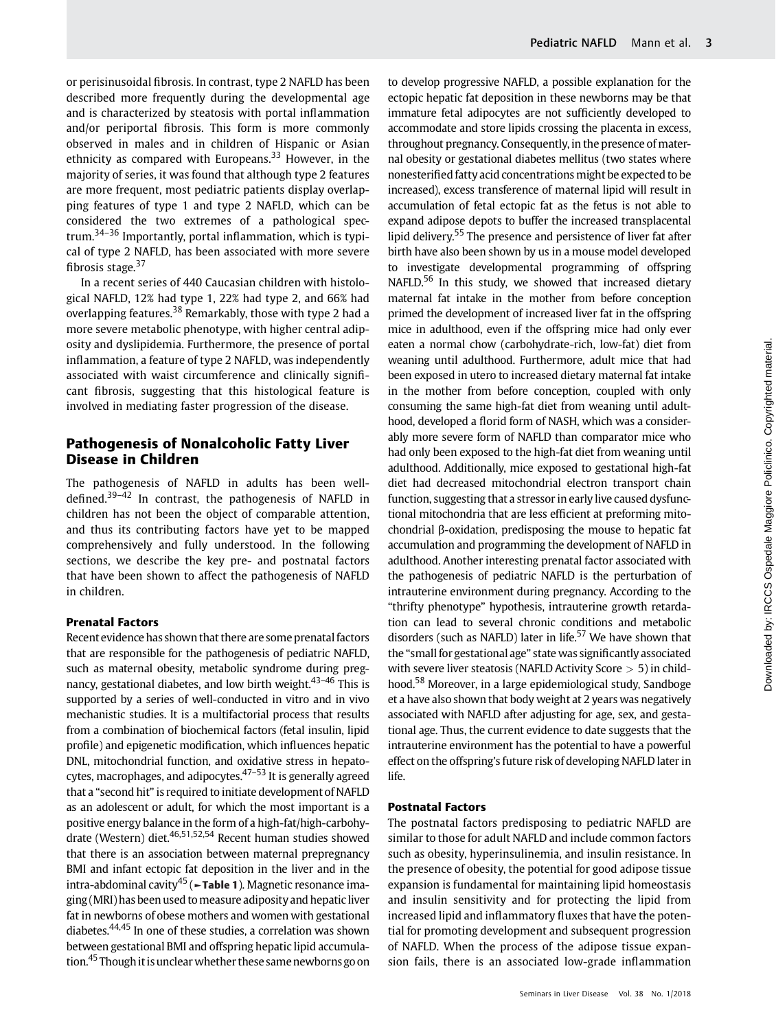or perisinusoidal fibrosis. In contrast, type 2 NAFLD has been described more frequently during the developmental age and is characterized by steatosis with portal inflammation and/or periportal fibrosis. This form is more commonly observed in males and in children of Hispanic or Asian ethnicity as compared with Europeans.<sup>33</sup> However, in the majority of series, it was found that although type 2 features are more frequent, most pediatric patients display overlapping features of type 1 and type 2 NAFLD, which can be considered the two extremes of a pathological spectrum.34–<sup>36</sup> Importantly, portal inflammation, which is typical of type 2 NAFLD, has been associated with more severe fibrosis stage.<sup>37</sup>

In a recent series of 440 Caucasian children with histological NAFLD, 12% had type 1, 22% had type 2, and 66% had overlapping features.<sup>38</sup> Remarkably, those with type 2 had a more severe metabolic phenotype, with higher central adiposity and dyslipidemia. Furthermore, the presence of portal inflammation, a feature of type 2 NAFLD, was independently associated with waist circumference and clinically significant fibrosis, suggesting that this histological feature is involved in mediating faster progression of the disease.

# Pathogenesis of Nonalcoholic Fatty Liver Disease in Children

The pathogenesis of NAFLD in adults has been welldefined.39–<sup>42</sup> In contrast, the pathogenesis of NAFLD in children has not been the object of comparable attention, and thus its contributing factors have yet to be mapped comprehensively and fully understood. In the following sections, we describe the key pre- and postnatal factors that have been shown to affect the pathogenesis of NAFLD in children.

### Prenatal Factors

Recent evidence has shown that there are some prenatal factors that are responsible for the pathogenesis of pediatric NAFLD, such as maternal obesity, metabolic syndrome during pregnancy, gestational diabetes, and low birth weight.<sup>43-46</sup> This is supported by a series of well-conducted in vitro and in vivo mechanistic studies. It is a multifactorial process that results from a combination of biochemical factors (fetal insulin, lipid profile) and epigenetic modification, which influences hepatic DNL, mitochondrial function, and oxidative stress in hepatocytes, macrophages, and adipocytes. $47-53$  It is generally agreed that a "second hit" is required to initiate development of NAFLD as an adolescent or adult, for which the most important is a positive energy balance in the form of a high-fat/high-carbohydrate (Western) diet.46,51,52,54 Recent human studies showed that there is an association between maternal prepregnancy BMI and infant ectopic fat deposition in the liver and in the intra-abdominal cavity<sup>45</sup> ( $\blacktriangleright$ **Table 1**). Magnetic resonance imaging (MRI) has been used tomeasure adiposity and hepaticliver fat in newborns of obese mothers and women with gestational diabetes.44,45 In one of these studies, a correlation was shown between gestational BMI and offspring hepatic lipid accumulation.<sup>45</sup> Though it is unclear whether these same newborns go on to develop progressive NAFLD, a possible explanation for the ectopic hepatic fat deposition in these newborns may be that immature fetal adipocytes are not sufficiently developed to accommodate and store lipids crossing the placenta in excess, throughout pregnancy. Consequently, in the presence of maternal obesity or gestational diabetes mellitus (two states where nonesterified fatty acid concentrations might be expected to be increased), excess transference of maternal lipid will result in accumulation of fetal ectopic fat as the fetus is not able to expand adipose depots to buffer the increased transplacental lipid delivery.<sup>55</sup> The presence and persistence of liver fat after birth have also been shown by us in a mouse model developed to investigate developmental programming of offspring NAFLD.<sup>56</sup> In this study, we showed that increased dietary maternal fat intake in the mother from before conception primed the development of increased liver fat in the offspring mice in adulthood, even if the offspring mice had only ever eaten a normal chow (carbohydrate-rich, low-fat) diet from weaning until adulthood. Furthermore, adult mice that had been exposed in utero to increased dietary maternal fat intake in the mother from before conception, coupled with only consuming the same high-fat diet from weaning until adulthood, developed a florid form of NASH, which was a considerably more severe form of NAFLD than comparator mice who had only been exposed to the high-fat diet from weaning until adulthood. Additionally, mice exposed to gestational high-fat diet had decreased mitochondrial electron transport chain function, suggesting that a stressor in early live caused dysfunctional mitochondria that are less efficient at preforming mitochondrial β-oxidation, predisposing the mouse to hepatic fat accumulation and programming the development of NAFLD in adulthood. Another interesting prenatal factor associated with the pathogenesis of pediatric NAFLD is the perturbation of intrauterine environment during pregnancy. According to the "thrifty phenotype" hypothesis, intrauterine growth retardation can lead to several chronic conditions and metabolic disorders (such as NAFLD) later in life.<sup>57</sup> We have shown that the "small for gestational age" state was significantly associated with severe liver steatosis (NAFLD Activity Score > 5) in childhood.<sup>58</sup> Moreover, in a large epidemiological study, Sandboge et a have also shown that body weight at 2 years was negatively associated with NAFLD after adjusting for age, sex, and gestational age. Thus, the current evidence to date suggests that the intrauterine environment has the potential to have a powerful effect on the offspring's future risk of developing NAFLD later in life.

#### Postnatal Factors

The postnatal factors predisposing to pediatric NAFLD are similar to those for adult NAFLD and include common factors such as obesity, hyperinsulinemia, and insulin resistance. In the presence of obesity, the potential for good adipose tissue expansion is fundamental for maintaining lipid homeostasis and insulin sensitivity and for protecting the lipid from increased lipid and inflammatory fluxes that have the potential for promoting development and subsequent progression of NAFLD. When the process of the adipose tissue expansion fails, there is an associated low-grade inflammation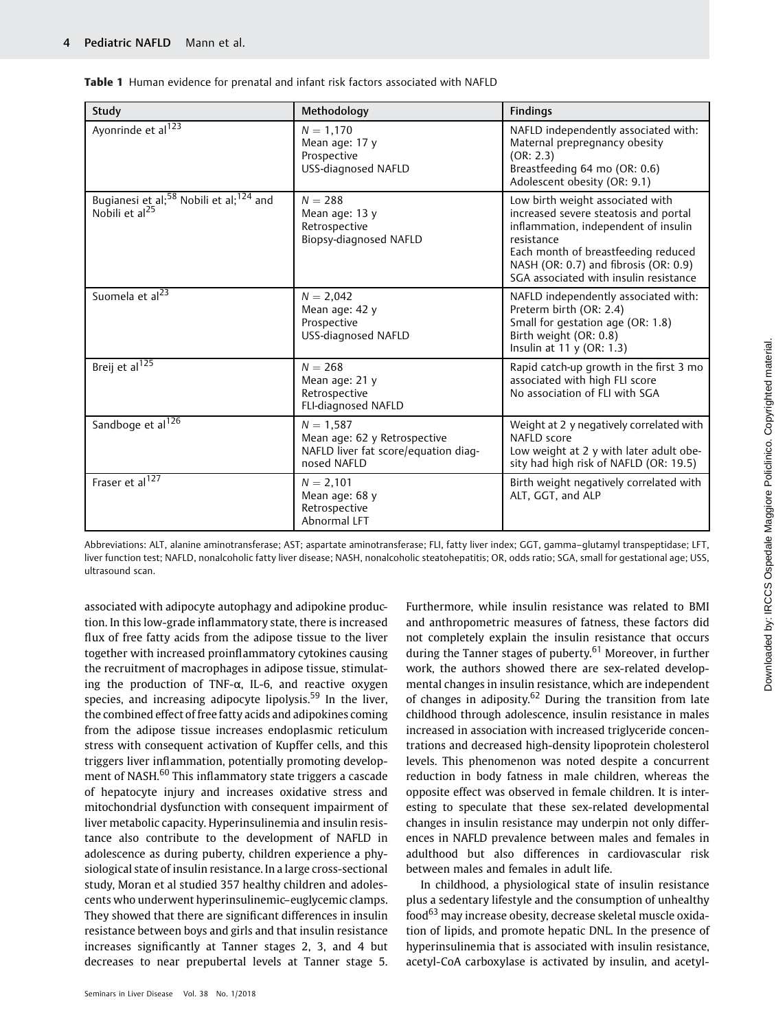|  |  |  |  |  |  |  |  | <b>Table 1</b> Human evidence for prenatal and infant risk factors associated with NAFLD |  |  |
|--|--|--|--|--|--|--|--|------------------------------------------------------------------------------------------|--|--|
|--|--|--|--|--|--|--|--|------------------------------------------------------------------------------------------|--|--|

| Study                                                                                         | Methodology                                                                                        | <b>Findings</b>                                                                                                                                                                                                                                           |
|-----------------------------------------------------------------------------------------------|----------------------------------------------------------------------------------------------------|-----------------------------------------------------------------------------------------------------------------------------------------------------------------------------------------------------------------------------------------------------------|
| Ayonrinde et al <sup>123</sup>                                                                | $N = 1,170$<br>Mean age: 17 y<br>Prospective<br><b>USS-diagnosed NAFLD</b>                         | NAFLD independently associated with:<br>Maternal prepregnancy obesity<br>(OR: 2.3)<br>Breastfeeding 64 mo (OR: 0.6)<br>Adolescent obesity (OR: 9.1)                                                                                                       |
| Bugianesi et al; <sup>58</sup> Nobili et al; <sup>124</sup> and<br>Nobili et al <sup>25</sup> | $N = 288$<br>Mean age: 13 y<br>Retrospective<br>Biopsy-diagnosed NAFLD                             | Low birth weight associated with<br>increased severe steatosis and portal<br>inflammation, independent of insulin<br>resistance<br>Each month of breastfeeding reduced<br>NASH (OR: 0.7) and fibrosis (OR: 0.9)<br>SGA associated with insulin resistance |
| Suomela et al <sup>23</sup>                                                                   | $N = 2,042$<br>Mean age: 42 y<br>Prospective<br>USS-diagnosed NAFLD                                | NAFLD independently associated with:<br>Preterm birth (OR: 2.4)<br>Small for gestation age (OR: 1.8)<br>Birth weight (OR: 0.8)<br>Insulin at $11 y (OR: 1.3)$                                                                                             |
| Breij et al <sup>125</sup>                                                                    | $N = 268$<br>Mean age: 21 y<br>Retrospective<br>FLI-diagnosed NAFLD                                | Rapid catch-up growth in the first 3 mo<br>associated with high FLI score<br>No association of FLI with SGA                                                                                                                                               |
| Sandboge et al <sup>126</sup>                                                                 | $N = 1,587$<br>Mean age: 62 y Retrospective<br>NAFLD liver fat score/equation diag-<br>nosed NAFLD | Weight at 2 y negatively correlated with<br>NAFLD score<br>Low weight at 2 y with later adult obe-<br>sity had high risk of NAFLD (OR: 19.5)                                                                                                              |
| Fraser et al <sup>127</sup>                                                                   | $N = 2,101$<br>Mean age: 68 y<br>Retrospective<br>Abnormal LFT                                     | Birth weight negatively correlated with<br>ALT, GGT, and ALP                                                                                                                                                                                              |

Abbreviations: ALT, alanine aminotransferase; AST; aspartate aminotransferase; FLI, fatty liver index; GGT, gamma–glutamyl transpeptidase; LFT, liver function test; NAFLD, nonalcoholic fatty liver disease; NASH, nonalcoholic steatohepatitis; OR, odds ratio; SGA, small for gestational age; USS, ultrasound scan.

associated with adipocyte autophagy and adipokine production. In this low-grade inflammatory state, there is increased flux of free fatty acids from the adipose tissue to the liver together with increased proinflammatory cytokines causing the recruitment of macrophages in adipose tissue, stimulating the production of TNF- $\alpha$ , IL-6, and reactive oxygen species, and increasing adipocyte lipolysis.<sup>59</sup> In the liver, the combined effect of free fatty acids and adipokines coming from the adipose tissue increases endoplasmic reticulum stress with consequent activation of Kupffer cells, and this triggers liver inflammation, potentially promoting development of NASH.<sup>60</sup> This inflammatory state triggers a cascade of hepatocyte injury and increases oxidative stress and mitochondrial dysfunction with consequent impairment of liver metabolic capacity. Hyperinsulinemia and insulin resistance also contribute to the development of NAFLD in adolescence as during puberty, children experience a physiological state of insulin resistance. In a large cross-sectional study, Moran et al studied 357 healthy children and adolescents who underwent hyperinsulinemic–euglycemic clamps. They showed that there are significant differences in insulin resistance between boys and girls and that insulin resistance increases significantly at Tanner stages 2, 3, and 4 but decreases to near prepubertal levels at Tanner stage 5.

Furthermore, while insulin resistance was related to BMI and anthropometric measures of fatness, these factors did not completely explain the insulin resistance that occurs during the Tanner stages of puberty.<sup>61</sup> Moreover, in further work, the authors showed there are sex-related developmental changes in insulin resistance, which are independent of changes in adiposity.<sup>62</sup> During the transition from late childhood through adolescence, insulin resistance in males increased in association with increased triglyceride concentrations and decreased high-density lipoprotein cholesterol levels. This phenomenon was noted despite a concurrent reduction in body fatness in male children, whereas the opposite effect was observed in female children. It is interesting to speculate that these sex-related developmental changes in insulin resistance may underpin not only differences in NAFLD prevalence between males and females in adulthood but also differences in cardiovascular risk between males and females in adult life.

In childhood, a physiological state of insulin resistance plus a sedentary lifestyle and the consumption of unhealthy food<sup>63</sup> may increase obesity, decrease skeletal muscle oxidation of lipids, and promote hepatic DNL. In the presence of hyperinsulinemia that is associated with insulin resistance, acetyl-CoA carboxylase is activated by insulin, and acetyl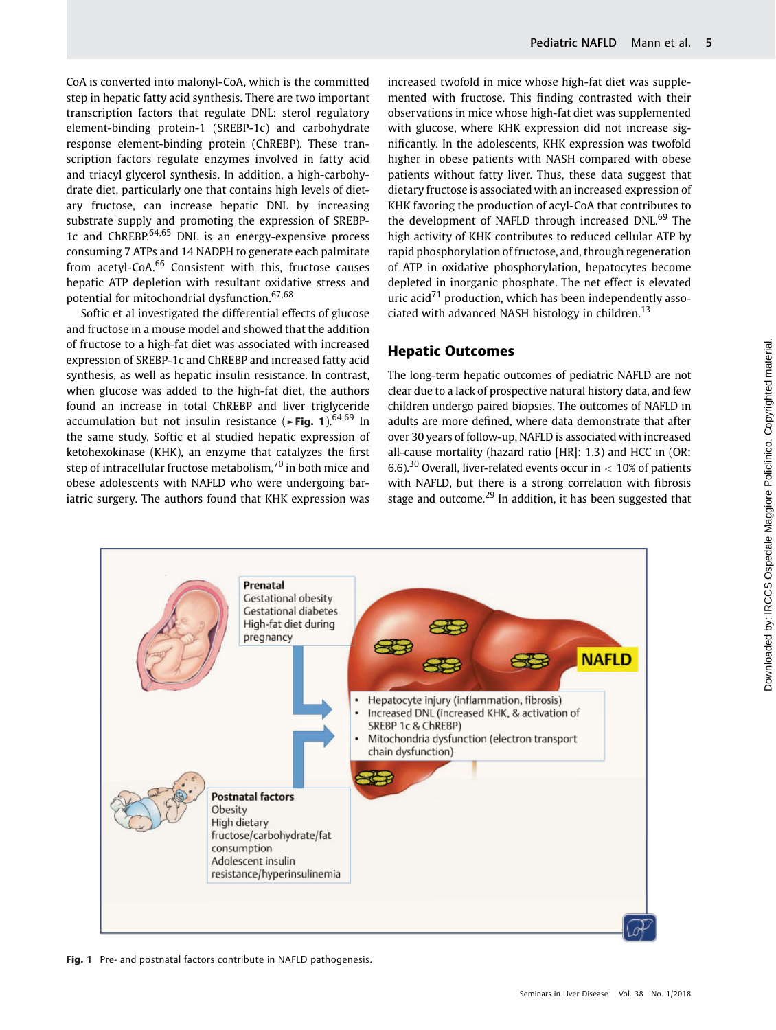CoA is converted into malonyl-CoA, which is the committed step in hepatic fatty acid synthesis. There are two important transcription factors that regulate DNL: sterol regulatory element-binding protein-1 (SREBP-1c) and carbohydrate response element-binding protein (ChREBP). These transcription factors regulate enzymes involved in fatty acid and triacyl glycerol synthesis. In addition, a high-carbohydrate diet, particularly one that contains high levels of dietary fructose, can increase hepatic DNL by increasing substrate supply and promoting the expression of SREBP-1c and ChREBP.<sup>64,65</sup> DNL is an energy-expensive process consuming 7 ATPs and 14 NADPH to generate each palmitate from acetyl-CoA.<sup>66</sup> Consistent with this, fructose causes hepatic ATP depletion with resultant oxidative stress and potential for mitochondrial dysfunction.67,68

Softic et al investigated the differential effects of glucose and fructose in a mouse model and showed that the addition of fructose to a high-fat diet was associated with increased expression of SREBP-1c and ChREBP and increased fatty acid synthesis, as well as hepatic insulin resistance. In contrast, when glucose was added to the high-fat diet, the authors found an increase in total ChREBP and liver triglyceride accumulation but not insulin resistance (►Fig. 1).<sup>64,69</sup> In the same study, Softic et al studied hepatic expression of ketohexokinase (KHK), an enzyme that catalyzes the first step of intracellular fructose metabolism, $70$  in both mice and obese adolescents with NAFLD who were undergoing bariatric surgery. The authors found that KHK expression was increased twofold in mice whose high-fat diet was supplemented with fructose. This finding contrasted with their observations in mice whose high-fat diet was supplemented with glucose, where KHK expression did not increase significantly. In the adolescents, KHK expression was twofold higher in obese patients with NASH compared with obese patients without fatty liver. Thus, these data suggest that dietary fructose is associated with an increased expression of KHK favoring the production of acyl-CoA that contributes to the development of NAFLD through increased DNL.<sup>69</sup> The high activity of KHK contributes to reduced cellular ATP by rapid phosphorylation of fructose, and, through regeneration of ATP in oxidative phosphorylation, hepatocytes become depleted in inorganic phosphate. The net effect is elevated uric acid<sup>71</sup> production, which has been independently associated with advanced NASH histology in children.<sup>13</sup>

# Hepatic Outcomes

The long-term hepatic outcomes of pediatric NAFLD are not clear due to a lack of prospective natural history data, and few children undergo paired biopsies. The outcomes of NAFLD in adults are more defined, where data demonstrate that after over 30 years of follow-up, NAFLD is associated with increased all-cause mortality (hazard ratio [HR]: 1.3) and HCC in (OR: 6.6).<sup>30</sup> Overall, liver-related events occur in  $< 10\%$  of patients with NAFLD, but there is a strong correlation with fibrosis stage and outcome.<sup>29</sup> In addition, it has been suggested that



Fig. 1 Pre- and postnatal factors contribute in NAFLD pathogenesis.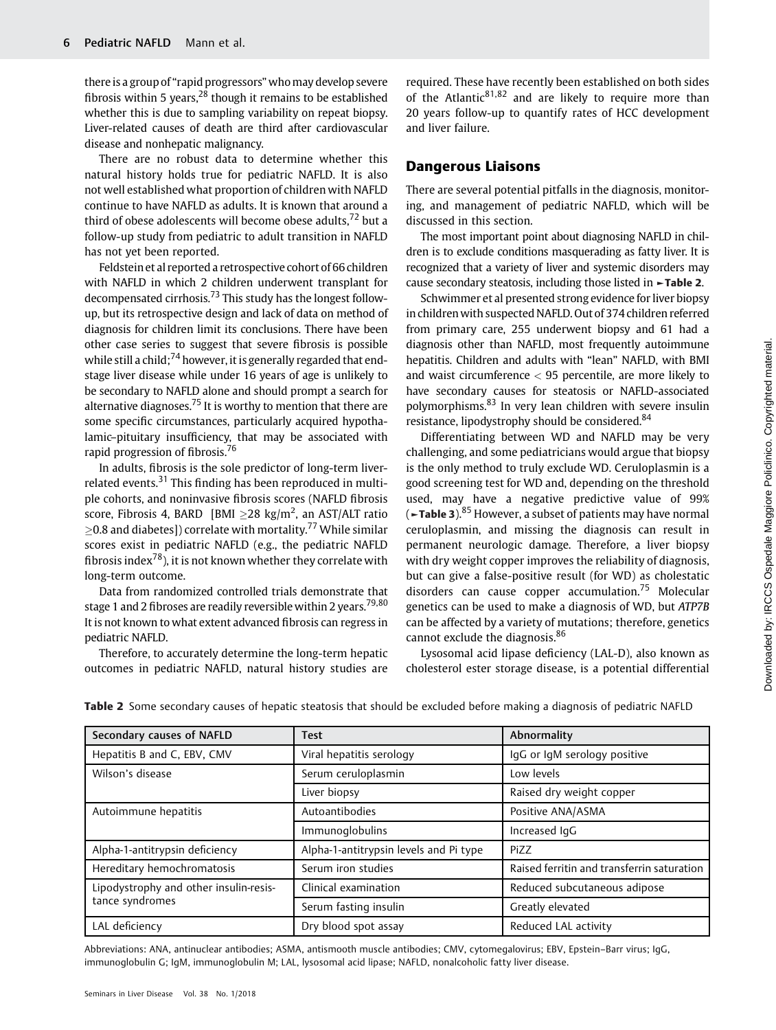there is a group of "rapid progressors" who may develop severe fibrosis within 5 years,<sup>28</sup> though it remains to be established whether this is due to sampling variability on repeat biopsy. Liver-related causes of death are third after cardiovascular disease and nonhepatic malignancy.

There are no robust data to determine whether this natural history holds true for pediatric NAFLD. It is also not well established what proportion of children with NAFLD continue to have NAFLD as adults. It is known that around a third of obese adolescents will become obese adults,  $72$  but a follow-up study from pediatric to adult transition in NAFLD has not yet been reported.

Feldstein et al reported a retrospective cohort of 66 children with NAFLD in which 2 children underwent transplant for decompensated cirrhosis.<sup>73</sup> This study has the longest followup, but its retrospective design and lack of data on method of diagnosis for children limit its conclusions. There have been other case series to suggest that severe fibrosis is possible while still a child;<sup>74</sup> however, it is generally regarded that endstage liver disease while under 16 years of age is unlikely to be secondary to NAFLD alone and should prompt a search for alternative diagnoses.<sup>75</sup> It is worthy to mention that there are some specific circumstances, particularly acquired hypothalamic–pituitary insufficiency, that may be associated with rapid progression of fibrosis.<sup>76</sup>

In adults, fibrosis is the sole predictor of long-term liverrelated events.<sup>31</sup> This finding has been reproduced in multiple cohorts, and noninvasive fibrosis scores (NAFLD fibrosis score, Fibrosis 4, BARD [BMI  $\geq$ 28 kg/m<sup>2</sup>, an AST/ALT ratio  $\geq$ 0.8 and diabetes]) correlate with mortality.<sup>77</sup> While similar scores exist in pediatric NAFLD (e.g., the pediatric NAFLD fibrosis index<sup>78</sup>), it is not known whether they correlate with long-term outcome.

Data from randomized controlled trials demonstrate that stage 1 and 2 fibroses are readily reversible within 2 years.<sup>79,80</sup> It is not known to what extent advanced fibrosis can regress in pediatric NAFLD.

Therefore, to accurately determine the long-term hepatic outcomes in pediatric NAFLD, natural history studies are required. These have recently been established on both sides of the Atlantic $81,82$  and are likely to require more than 20 years follow-up to quantify rates of HCC development and liver failure.

# Dangerous Liaisons

There are several potential pitfalls in the diagnosis, monitoring, and management of pediatric NAFLD, which will be discussed in this section.

The most important point about diagnosing NAFLD in children is to exclude conditions masquerading as fatty liver. It is recognized that a variety of liver and systemic disorders may cause secondary steatosis, including those listed in ►Table 2.

Schwimmer et al presented strong evidence for liver biopsy in children with suspected NAFLD. Out of 374 children referred from primary care, 255 underwent biopsy and 61 had a diagnosis other than NAFLD, most frequently autoimmune hepatitis. Children and adults with "lean" NAFLD, with BMI and waist circumference < 95 percentile, are more likely to have secondary causes for steatosis or NAFLD-associated polymorphisms.<sup>83</sup> In very lean children with severe insulin resistance, lipodystrophy should be considered.<sup>84</sup>

Differentiating between WD and NAFLD may be very challenging, and some pediatricians would argue that biopsy is the only method to truly exclude WD. Ceruloplasmin is a good screening test for WD and, depending on the threshold used, may have a negative predictive value of 99% ( $\blacktriangleright$ Table 3).<sup>85</sup> However, a subset of patients may have normal ceruloplasmin, and missing the diagnosis can result in permanent neurologic damage. Therefore, a liver biopsy with dry weight copper improves the reliability of diagnosis, but can give a false-positive result (for WD) as cholestatic disorders can cause copper accumulation.<sup>75</sup> Molecular genetics can be used to make a diagnosis of WD, but ATP7B can be affected by a variety of mutations; therefore, genetics cannot exclude the diagnosis.<sup>86</sup>

Lysosomal acid lipase deficiency (LAL-D), also known as cholesterol ester storage disease, is a potential differential

| Secondary causes of NAFLD              | <b>Test</b>                            | Abnormality                                |
|----------------------------------------|----------------------------------------|--------------------------------------------|
| Hepatitis B and C, EBV, CMV            | Viral hepatitis serology               | IgG or IgM serology positive               |
| Wilson's disease                       | Serum ceruloplasmin                    | Low levels                                 |
|                                        | Liver biopsy                           | Raised dry weight copper                   |
| Autoimmune hepatitis                   | Autoantibodies                         | Positive ANA/ASMA                          |
|                                        | Immunoqlobulins                        | Increased IqG                              |
| Alpha-1-antitrypsin deficiency         | Alpha-1-antitrypsin levels and Pi type | PiZZ                                       |
| Hereditary hemochromatosis             | Serum iron studies                     | Raised ferritin and transferrin saturation |
| Lipodystrophy and other insulin-resis- | Clinical examination                   | Reduced subcutaneous adipose               |
| tance syndromes                        | Serum fasting insulin                  | Greatly elevated                           |
| LAL deficiency                         | Dry blood spot assay                   | Reduced LAL activity                       |

Table 2 Some secondary causes of hepatic steatosis that should be excluded before making a diagnosis of pediatric NAFLD

Abbreviations: ANA, antinuclear antibodies; ASMA, antismooth muscle antibodies; CMV, cytomegalovirus; EBV, Epstein–Barr virus; IgG, immunoglobulin G; IgM, immunoglobulin M; LAL, lysosomal acid lipase; NAFLD, nonalcoholic fatty liver disease.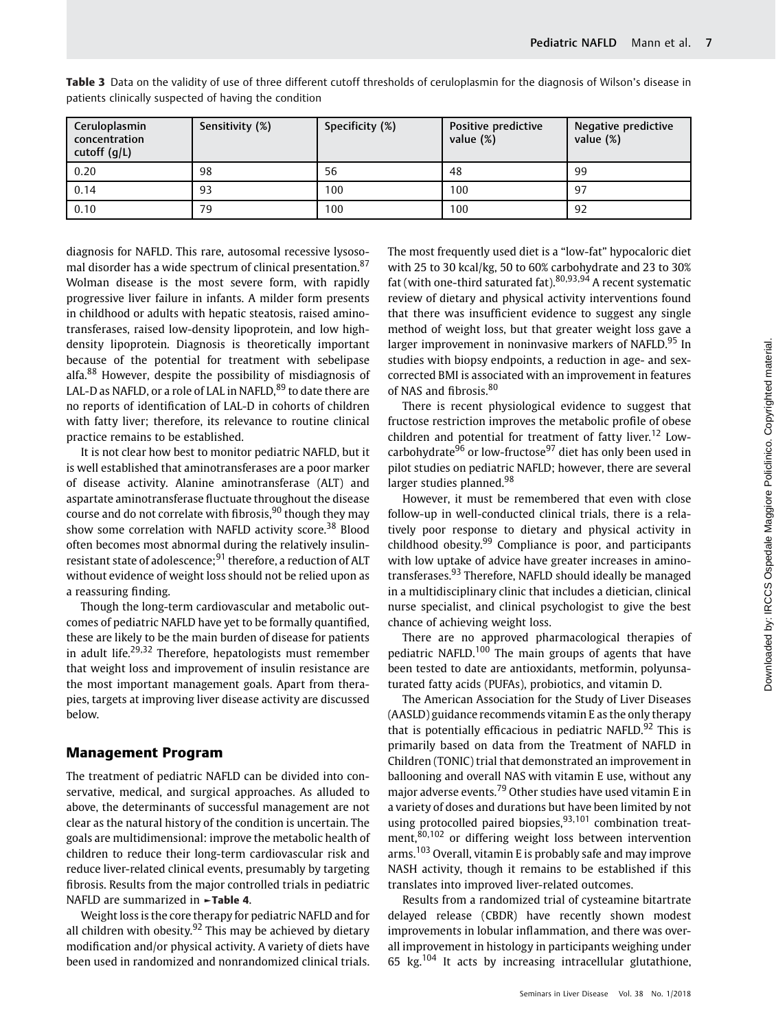| Ceruloplasmin<br>concentration<br>cutoff $(g/L)$ | Sensitivity (%) | Specificity (%) | Positive predictive<br>value (%) | Negative predictive<br>value (%) |
|--------------------------------------------------|-----------------|-----------------|----------------------------------|----------------------------------|
| 0.20                                             | 98              | 56              | 48                               | 99                               |
| 0.14                                             | 93              | 100             | 100                              | 97                               |
| 0.10                                             | 79              | 100             | 100                              | 92                               |

Table 3 Data on the validity of use of three different cutoff thresholds of ceruloplasmin for the diagnosis of Wilson's disease in patients clinically suspected of having the condition

diagnosis for NAFLD. This rare, autosomal recessive lysosomal disorder has a wide spectrum of clinical presentation.<sup>87</sup> Wolman disease is the most severe form, with rapidly progressive liver failure in infants. A milder form presents in childhood or adults with hepatic steatosis, raised aminotransferases, raised low-density lipoprotein, and low highdensity lipoprotein. Diagnosis is theoretically important because of the potential for treatment with sebelipase alfa.<sup>88</sup> However, despite the possibility of misdiagnosis of LAL-D as NAFLD, or a role of LAL in NAFLD, <sup>89</sup> to date there are no reports of identification of LAL-D in cohorts of children with fatty liver; therefore, its relevance to routine clinical practice remains to be established.

It is not clear how best to monitor pediatric NAFLD, but it is well established that aminotransferases are a poor marker of disease activity. Alanine aminotransferase (ALT) and aspartate aminotransferase fluctuate throughout the disease course and do not correlate with fibrosis,  $90$  though they may show some correlation with NAFLD activity score.<sup>38</sup> Blood often becomes most abnormal during the relatively insulinresistant state of adolescence;<sup>91</sup> therefore, a reduction of ALT without evidence of weight loss should not be relied upon as a reassuring finding.

Though the long-term cardiovascular and metabolic outcomes of pediatric NAFLD have yet to be formally quantified, these are likely to be the main burden of disease for patients in adult life.<sup>29,32</sup> Therefore, hepatologists must remember that weight loss and improvement of insulin resistance are the most important management goals. Apart from therapies, targets at improving liver disease activity are discussed below.

# Management Program

The treatment of pediatric NAFLD can be divided into conservative, medical, and surgical approaches. As alluded to above, the determinants of successful management are not clear as the natural history of the condition is uncertain. The goals are multidimensional: improve the metabolic health of children to reduce their long-term cardiovascular risk and reduce liver-related clinical events, presumably by targeting fibrosis. Results from the major controlled trials in pediatric NAFLD are summarized in **-Table 4.** 

Weight loss is the core therapy for pediatric NAFLD and for all children with obesity.<sup>92</sup> This may be achieved by dietary modification and/or physical activity. A variety of diets have been used in randomized and nonrandomized clinical trials. The most frequently used diet is a "low-fat" hypocaloric diet with 25 to 30 kcal/kg, 50 to 60% carbohydrate and 23 to 30% fat (with one-third saturated fat).  $80,93,94$  A recent systematic review of dietary and physical activity interventions found that there was insufficient evidence to suggest any single method of weight loss, but that greater weight loss gave a larger improvement in noninvasive markers of NAFLD.<sup>95</sup> In studies with biopsy endpoints, a reduction in age- and sexcorrected BMI is associated with an improvement in features of NAS and fibrosis.<sup>80</sup>

There is recent physiological evidence to suggest that fructose restriction improves the metabolic profile of obese children and potential for treatment of fatty liver.<sup>12</sup> Lowcarbohydrate<sup>96</sup> or low-fructose<sup>97</sup> diet has only been used in pilot studies on pediatric NAFLD; however, there are several larger studies planned.<sup>98</sup>

However, it must be remembered that even with close follow-up in well-conducted clinical trials, there is a relatively poor response to dietary and physical activity in childhood obesity.<sup>99</sup> Compliance is poor, and participants with low uptake of advice have greater increases in aminotransferases.<sup>93</sup> Therefore, NAFLD should ideally be managed in a multidisciplinary clinic that includes a dietician, clinical nurse specialist, and clinical psychologist to give the best chance of achieving weight loss.

There are no approved pharmacological therapies of pediatric NAFLD.<sup>100</sup> The main groups of agents that have been tested to date are antioxidants, metformin, polyunsaturated fatty acids (PUFAs), probiotics, and vitamin D.

The American Association for the Study of Liver Diseases (AASLD) guidance recommends vitamin E as the only therapy that is potentially efficacious in pediatric NAFLD.<sup>92</sup> This is primarily based on data from the Treatment of NAFLD in Children (TONIC) trial that demonstrated an improvement in ballooning and overall NAS with vitamin E use, without any major adverse events.<sup>79</sup> Other studies have used vitamin E in a variety of doses and durations but have been limited by not using protocolled paired biopsies,  $93,101$  combination treatment.<sup>80,102</sup> or differing weight loss between intervention arms.<sup>103</sup> Overall, vitamin E is probably safe and may improve NASH activity, though it remains to be established if this translates into improved liver-related outcomes.

Results from a randomized trial of cysteamine bitartrate delayed release (CBDR) have recently shown modest improvements in lobular inflammation, and there was overall improvement in histology in participants weighing under 65 kg.<sup>104</sup> It acts by increasing intracellular glutathione,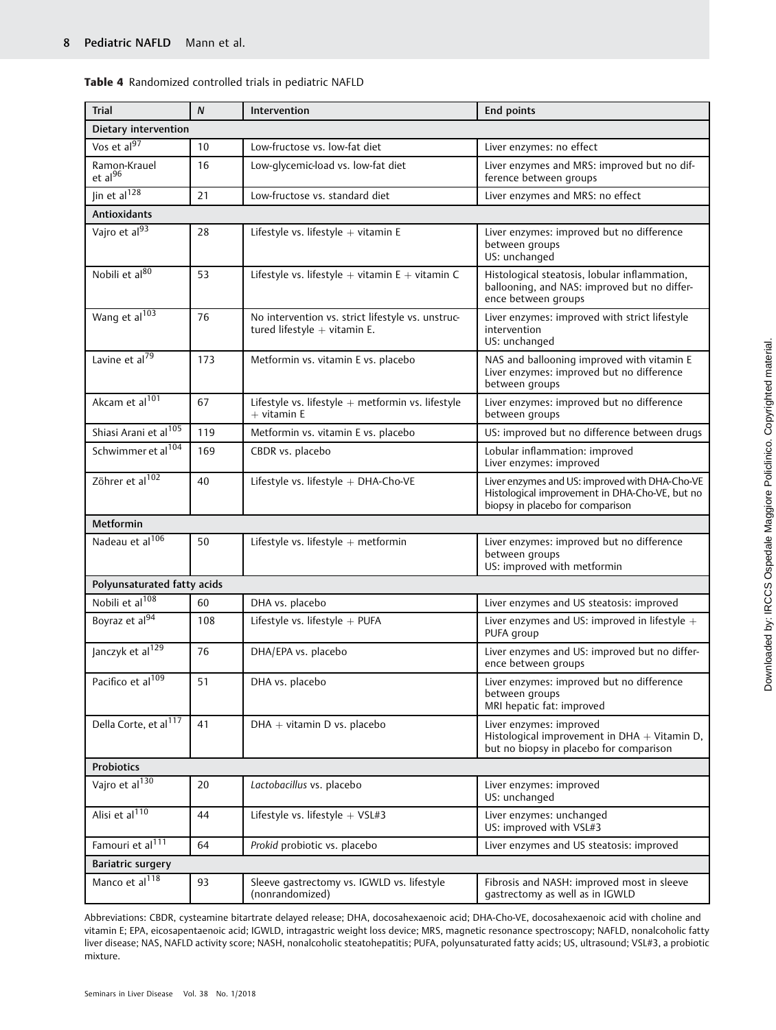| <b>Trial</b>                        | $\mathsf{N}$ | Intervention                                                                        | End points                                                                                                                           |
|-------------------------------------|--------------|-------------------------------------------------------------------------------------|--------------------------------------------------------------------------------------------------------------------------------------|
| Dietary intervention                |              |                                                                                     |                                                                                                                                      |
| Vos et al <sup>97</sup>             | 10           | Low-fructose vs. low-fat diet                                                       | Liver enzymes: no effect                                                                                                             |
| Ramon-Krauel<br>et al <sup>96</sup> | 16           | Low-glycemic-load vs. low-fat diet                                                  | Liver enzymes and MRS: improved but no dif-<br>ference between groups                                                                |
| Jin et al $^{128}$                  | 21           | Low-fructose vs. standard diet                                                      | Liver enzymes and MRS: no effect                                                                                                     |
| <b>Antioxidants</b>                 |              |                                                                                     |                                                                                                                                      |
| Vajro et al <sup>93</sup>           | 28           | Lifestyle vs. lifestyle $+$ vitamin E                                               | Liver enzymes: improved but no difference<br>between groups<br>US: unchanged                                                         |
| Nobili et al <sup>80</sup>          | 53           | Lifestyle vs. lifestyle $+$ vitamin E $+$ vitamin C                                 | Histological steatosis, lobular inflammation,<br>ballooning, and NAS: improved but no differ-<br>ence between groups                 |
| Wang et al <sup>103</sup>           | 76           | No intervention vs. strict lifestyle vs. unstruc-<br>tured lifestyle $+$ vitamin E. | Liver enzymes: improved with strict lifestyle<br>intervention<br>US: unchanged                                                       |
| Lavine et al <sup>79</sup>          | 173          | Metformin vs. vitamin E vs. placebo                                                 | NAS and ballooning improved with vitamin E<br>Liver enzymes: improved but no difference<br>between groups                            |
| Akcam et al <sup>101</sup>          | 67           | Lifestyle vs. lifestyle $+$ metformin vs. lifestyle<br>$+$ vitamin E                | Liver enzymes: improved but no difference<br>between groups                                                                          |
| Shiasi Arani et al <sup>105</sup>   | 119          | Metformin vs. vitamin E vs. placebo                                                 | US: improved but no difference between drugs                                                                                         |
| Schwimmer et al <sup>104</sup>      | 169          | CBDR vs. placebo                                                                    | Lobular inflammation: improved<br>Liver enzymes: improved                                                                            |
| Zöhrer et al <sup>102</sup>         | 40           | Lifestyle vs. lifestyle + DHA-Cho-VE                                                | Liver enzymes and US: improved with DHA-Cho-VE<br>Histological improvement in DHA-Cho-VE, but no<br>biopsy in placebo for comparison |
| Metformin                           |              |                                                                                     |                                                                                                                                      |
| Nadeau et al <sup>106</sup>         | 50           | Lifestyle vs. lifestyle $+$ metformin                                               | Liver enzymes: improved but no difference<br>between groups<br>US: improved with metformin                                           |
| Polyunsaturated fatty acids         |              |                                                                                     |                                                                                                                                      |
| Nobili et al <sup>108</sup>         | 60           | DHA vs. placebo                                                                     | Liver enzymes and US steatosis: improved                                                                                             |
| Boyraz et al94                      | 108          | Lifestyle vs. lifestyle $+$ PUFA                                                    | Liver enzymes and US: improved in lifestyle $+$<br>PUFA group                                                                        |
| Janczyk et al <sup>129</sup>        | 76           | DHA/EPA vs. placebo                                                                 | Liver enzymes and US: improved but no differ-<br>ence between groups                                                                 |
| Pacifico et al <sup>109</sup>       | 51           | DHA vs. placebo                                                                     | Liver enzymes: improved but no difference<br>between groups<br>MRI hepatic fat: improved                                             |
| Della Corte, et al <sup>117</sup>   | 41           | $DHA + vitamin D vs. placebo$                                                       | Liver enzymes: improved<br>Histological improvement in $DHA + V$ itamin D,<br>but no biopsy in placebo for comparison                |
| <b>Probiotics</b>                   |              |                                                                                     |                                                                                                                                      |
| Vajro et al 130                     | 20           | Lactobacillus vs. placebo                                                           | Liver enzymes: improved<br>US: unchanged                                                                                             |
| Alisi et al <sup>110</sup>          | 44           | Lifestyle vs. lifestyle $+$ VSL#3                                                   | Liver enzymes: unchanged<br>US: improved with VSL#3                                                                                  |
| Famouri et al <sup>111</sup>        | 64           | Prokid probiotic vs. placebo                                                        | Liver enzymes and US steatosis: improved                                                                                             |
| Bariatric surgery                   |              |                                                                                     |                                                                                                                                      |
| Manco et al <sup>118</sup>          | 93           | Sleeve gastrectomy vs. IGWLD vs. lifestyle<br>(nonrandomized)                       | Fibrosis and NASH: improved most in sleeve<br>qastrectomy as well as in IGWLD                                                        |

#### Table 4 Randomized controlled trials in pediatric NAFLD

Abbreviations: CBDR, cysteamine bitartrate delayed release; DHA, docosahexaenoic acid; DHA-Cho-VE, docosahexaenoic acid with choline and vitamin E; EPA, eicosapentaenoic acid; IGWLD, intragastric weight loss device; MRS, magnetic resonance spectroscopy; NAFLD, nonalcoholic fatty liver disease; NAS, NAFLD activity score; NASH, nonalcoholic steatohepatitis; PUFA, polyunsaturated fatty acids; US, ultrasound; VSL#3, a probiotic mixture.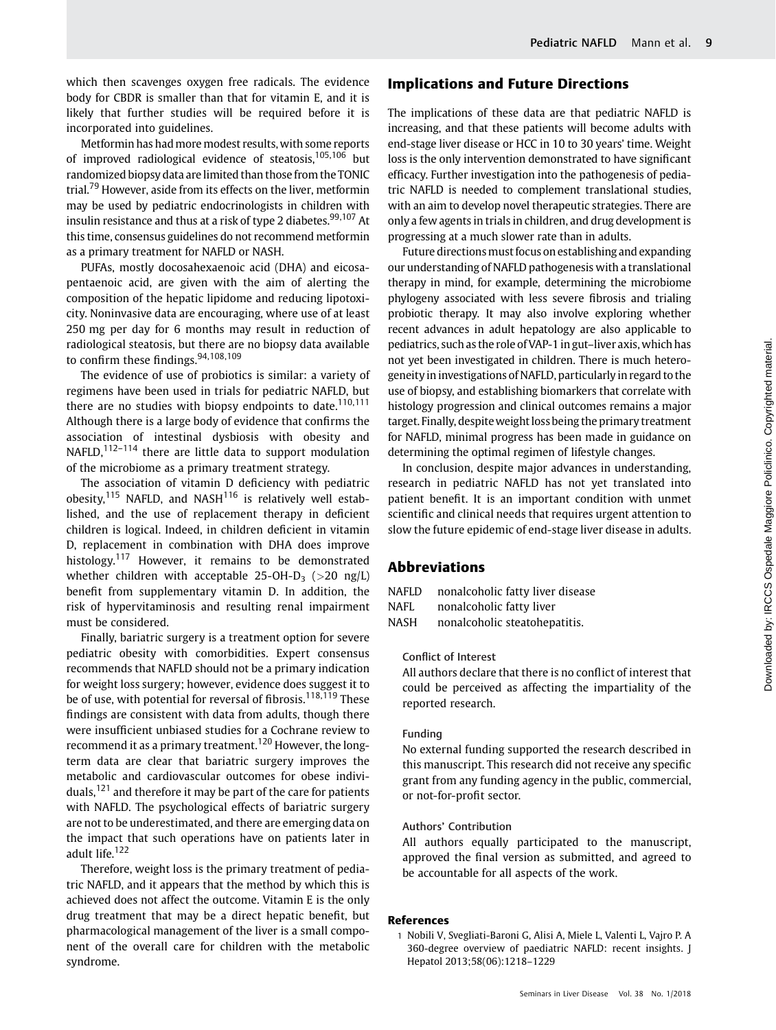which then scavenges oxygen free radicals. The evidence body for CBDR is smaller than that for vitamin E, and it is likely that further studies will be required before it is incorporated into guidelines.

Metformin has hadmore modest results, with some reports of improved radiological evidence of steatosis, $105,106$  but randomized biopsy data are limited than those from the TONIC trial.<sup>79</sup> However, aside from its effects on the liver, metformin may be used by pediatric endocrinologists in children with insulin resistance and thus at a risk of type 2 diabetes.<sup>99,107</sup> At this time, consensus guidelines do not recommend metformin as a primary treatment for NAFLD or NASH.

PUFAs, mostly docosahexaenoic acid (DHA) and eicosapentaenoic acid, are given with the aim of alerting the composition of the hepatic lipidome and reducing lipotoxicity. Noninvasive data are encouraging, where use of at least 250 mg per day for 6 months may result in reduction of radiological steatosis, but there are no biopsy data available to confirm these findings.<sup>94,108,109</sup>

The evidence of use of probiotics is similar: a variety of regimens have been used in trials for pediatric NAFLD, but there are no studies with biopsy endpoints to date.<sup>110,111</sup> Although there is a large body of evidence that confirms the association of intestinal dysbiosis with obesity and NAFLD, $112-114$  there are little data to support modulation of the microbiome as a primary treatment strategy.

The association of vitamin D deficiency with pediatric obesity, $115$  NAFLD, and NASH $116$  is relatively well established, and the use of replacement therapy in deficient children is logical. Indeed, in children deficient in vitamin D, replacement in combination with DHA does improve histology.<sup>117</sup> However, it remains to be demonstrated whether children with acceptable 25-OH- $D_3$  ( $>20$  ng/L) benefit from supplementary vitamin D. In addition, the risk of hypervitaminosis and resulting renal impairment must be considered.

Finally, bariatric surgery is a treatment option for severe pediatric obesity with comorbidities. Expert consensus recommends that NAFLD should not be a primary indication for weight loss surgery; however, evidence does suggest it to be of use, with potential for reversal of fibrosis.<sup>118,119</sup> These findings are consistent with data from adults, though there were insufficient unbiased studies for a Cochrane review to recommend it as a primary treatment.<sup>120</sup> However, the longterm data are clear that bariatric surgery improves the metabolic and cardiovascular outcomes for obese individuals,  $121$  and therefore it may be part of the care for patients with NAFLD. The psychological effects of bariatric surgery are not to be underestimated, and there are emerging data on the impact that such operations have on patients later in adult life.<sup>122</sup>

Therefore, weight loss is the primary treatment of pediatric NAFLD, and it appears that the method by which this is achieved does not affect the outcome. Vitamin E is the only drug treatment that may be a direct hepatic benefit, but pharmacological management of the liver is a small component of the overall care for children with the metabolic syndrome.

# Implications and Future Directions

The implications of these data are that pediatric NAFLD is increasing, and that these patients will become adults with end-stage liver disease or HCC in 10 to 30 years' time. Weight loss is the only intervention demonstrated to have significant efficacy. Further investigation into the pathogenesis of pediatric NAFLD is needed to complement translational studies, with an aim to develop novel therapeutic strategies. There are only a few agents in trials in children, and drug development is progressing at a much slower rate than in adults.

Future directions must focus on establishing and expanding our understanding of NAFLD pathogenesis with a translational therapy in mind, for example, determining the microbiome phylogeny associated with less severe fibrosis and trialing probiotic therapy. It may also involve exploring whether recent advances in adult hepatology are also applicable to pediatrics, such as the role of VAP-1 in gut–liver axis, which has not yet been investigated in children. There is much heterogeneity in investigations of NAFLD, particularly in regard to the use of biopsy, and establishing biomarkers that correlate with histology progression and clinical outcomes remains a major target. Finally, despite weight loss being the primary treatment for NAFLD, minimal progress has been made in guidance on determining the optimal regimen of lifestyle changes.

In conclusion, despite major advances in understanding, research in pediatric NAFLD has not yet translated into patient benefit. It is an important condition with unmet scientific and clinical needs that requires urgent attention to slow the future epidemic of end-stage liver disease in adults.

## Abbreviations

| <b>NAFLD</b> | nonalcoholic fatty liver disease |  |  |
|--------------|----------------------------------|--|--|
|              |                                  |  |  |

- NAFL nonalcoholic fatty liver
- NASH nonalcoholic steatohepatitis.

#### Conflict of Interest

All authors declare that there is no conflict of interest that could be perceived as affecting the impartiality of the reported research.

#### Funding

No external funding supported the research described in this manuscript. This research did not receive any specific grant from any funding agency in the public, commercial, or not-for-profit sector.

#### Authors' Contribution

All authors equally participated to the manuscript, approved the final version as submitted, and agreed to be accountable for all aspects of the work.

#### References

1 Nobili V, Svegliati-Baroni G, Alisi A, Miele L, Valenti L, Vajro P. A 360-degree overview of paediatric NAFLD: recent insights. J Hepatol 2013;58(06):1218–1229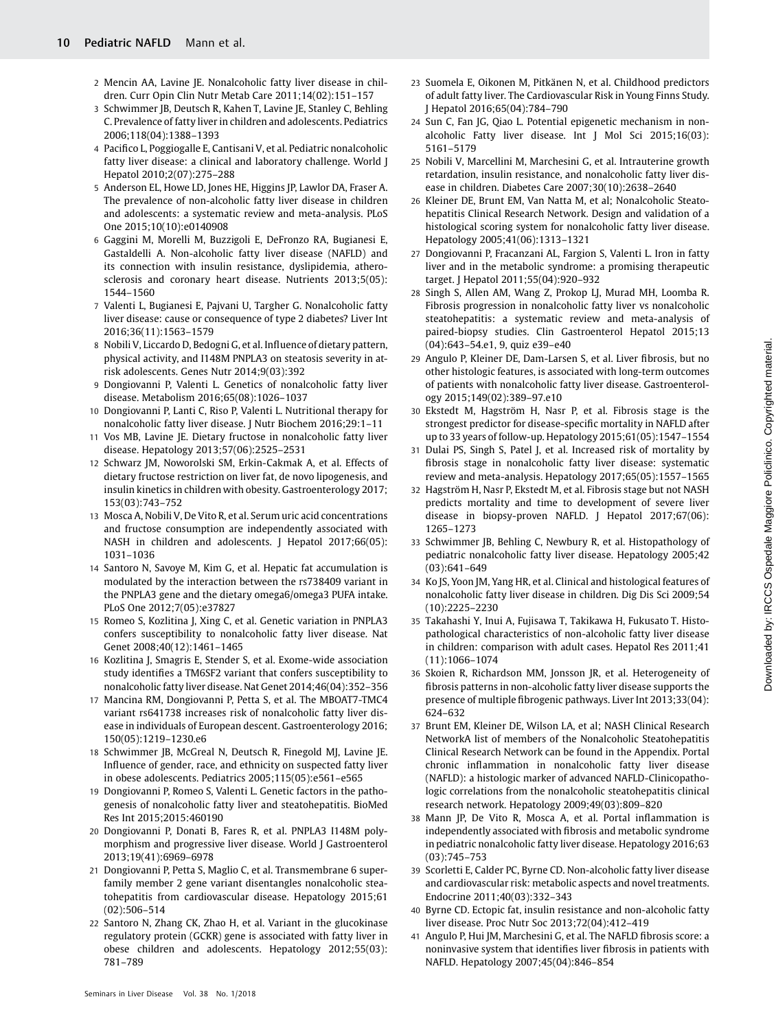- 2 Mencin AA, Lavine JE. Nonalcoholic fatty liver disease in children. Curr Opin Clin Nutr Metab Care 2011;14(02):151–157
- 3 Schwimmer JB, Deutsch R, Kahen T, Lavine JE, Stanley C, Behling C. Prevalence of fatty liver in children and adolescents. Pediatrics 2006;118(04):1388–1393
- 4 Pacifico L, Poggiogalle E, Cantisani V, et al. Pediatric nonalcoholic fatty liver disease: a clinical and laboratory challenge. World J Hepatol 2010;2(07):275–288
- 5 Anderson EL, Howe LD, Jones HE, Higgins JP, Lawlor DA, Fraser A. The prevalence of non-alcoholic fatty liver disease in children and adolescents: a systematic review and meta-analysis. PLoS One 2015;10(10):e0140908
- 6 Gaggini M, Morelli M, Buzzigoli E, DeFronzo RA, Bugianesi E, Gastaldelli A. Non-alcoholic fatty liver disease (NAFLD) and its connection with insulin resistance, dyslipidemia, atherosclerosis and coronary heart disease. Nutrients 2013;5(05): 1544–1560
- 7 Valenti L, Bugianesi E, Pajvani U, Targher G. Nonalcoholic fatty liver disease: cause or consequence of type 2 diabetes? Liver Int 2016;36(11):1563–1579
- 8 Nobili V, Liccardo D, Bedogni G, et al. Influence of dietary pattern, physical activity, and I148M PNPLA3 on steatosis severity in atrisk adolescents. Genes Nutr 2014;9(03):392
- 9 Dongiovanni P, Valenti L. Genetics of nonalcoholic fatty liver disease. Metabolism 2016;65(08):1026–1037
- 10 Dongiovanni P, Lanti C, Riso P, Valenti L. Nutritional therapy for nonalcoholic fatty liver disease. J Nutr Biochem 2016;29:1–11
- 11 Vos MB, Lavine JE. Dietary fructose in nonalcoholic fatty liver disease. Hepatology 2013;57(06):2525–2531
- 12 Schwarz JM, Noworolski SM, Erkin-Cakmak A, et al. Effects of dietary fructose restriction on liver fat, de novo lipogenesis, and insulin kinetics in children with obesity. Gastroenterology 2017; 153(03):743–752
- 13 Mosca A, Nobili V, De Vito R, et al. Serum uric acid concentrations and fructose consumption are independently associated with NASH in children and adolescents. J Hepatol 2017;66(05): 1031–1036
- 14 Santoro N, Savoye M, Kim G, et al. Hepatic fat accumulation is modulated by the interaction between the rs738409 variant in the PNPLA3 gene and the dietary omega6/omega3 PUFA intake. PLoS One 2012;7(05):e37827
- 15 Romeo S, Kozlitina J, Xing C, et al. Genetic variation in PNPLA3 confers susceptibility to nonalcoholic fatty liver disease. Nat Genet 2008;40(12):1461–1465
- 16 Kozlitina J, Smagris E, Stender S, et al. Exome-wide association study identifies a TM6SF2 variant that confers susceptibility to nonalcoholic fatty liver disease. Nat Genet 2014;46(04):352–356
- 17 Mancina RM, Dongiovanni P, Petta S, et al. The MBOAT7-TMC4 variant rs641738 increases risk of nonalcoholic fatty liver disease in individuals of European descent. Gastroenterology 2016; 150(05):1219–1230.e6
- 18 Schwimmer JB, McGreal N, Deutsch R, Finegold MJ, Lavine JE. Influence of gender, race, and ethnicity on suspected fatty liver in obese adolescents. Pediatrics 2005;115(05):e561–e565
- 19 Dongiovanni P, Romeo S, Valenti L. Genetic factors in the pathogenesis of nonalcoholic fatty liver and steatohepatitis. BioMed Res Int 2015;2015:460190
- 20 Dongiovanni P, Donati B, Fares R, et al. PNPLA3 I148M polymorphism and progressive liver disease. World J Gastroenterol 2013;19(41):6969–6978
- 21 Dongiovanni P, Petta S, Maglio C, et al. Transmembrane 6 superfamily member 2 gene variant disentangles nonalcoholic steatohepatitis from cardiovascular disease. Hepatology 2015;61 (02):506–514
- 22 Santoro N, Zhang CK, Zhao H, et al. Variant in the glucokinase regulatory protein (GCKR) gene is associated with fatty liver in obese children and adolescents. Hepatology 2012;55(03): 781–789
- 23 Suomela E, Oikonen M, Pitkänen N, et al. Childhood predictors of adult fatty liver. The Cardiovascular Risk in Young Finns Study. J Hepatol 2016;65(04):784–790
- 24 Sun C, Fan JG, Qiao L. Potential epigenetic mechanism in nonalcoholic Fatty liver disease. Int J Mol Sci 2015;16(03): 5161–5179
- 25 Nobili V, Marcellini M, Marchesini G, et al. Intrauterine growth retardation, insulin resistance, and nonalcoholic fatty liver disease in children. Diabetes Care 2007;30(10):2638–2640
- 26 Kleiner DE, Brunt EM, Van Natta M, et al; Nonalcoholic Steatohepatitis Clinical Research Network. Design and validation of a histological scoring system for nonalcoholic fatty liver disease. Hepatology 2005;41(06):1313–1321
- 27 Dongiovanni P, Fracanzani AL, Fargion S, Valenti L. Iron in fatty liver and in the metabolic syndrome: a promising therapeutic target. J Hepatol 2011;55(04):920–932
- 28 Singh S, Allen AM, Wang Z, Prokop LJ, Murad MH, Loomba R. Fibrosis progression in nonalcoholic fatty liver vs nonalcoholic steatohepatitis: a systematic review and meta-analysis of paired-biopsy studies. Clin Gastroenterol Hepatol 2015;13 (04):643–54.e1, 9, quiz e39–e40
- 29 Angulo P, Kleiner DE, Dam-Larsen S, et al. Liver fibrosis, but no other histologic features, is associated with long-term outcomes of patients with nonalcoholic fatty liver disease. Gastroenterology 2015;149(02):389–97.e10
- 30 Ekstedt M, Hagström H, Nasr P, et al. Fibrosis stage is the strongest predictor for disease-specific mortality in NAFLD after up to 33 years of follow-up. Hepatology 2015;61(05):1547–1554
- 31 Dulai PS, Singh S, Patel J, et al. Increased risk of mortality by fibrosis stage in nonalcoholic fatty liver disease: systematic review and meta-analysis. Hepatology 2017;65(05):1557–1565
- 32 Hagström H, Nasr P, Ekstedt M, et al. Fibrosis stage but not NASH predicts mortality and time to development of severe liver disease in biopsy-proven NAFLD. J Hepatol 2017;67(06): 1265–1273
- 33 Schwimmer JB, Behling C, Newbury R, et al. Histopathology of pediatric nonalcoholic fatty liver disease. Hepatology 2005;42 (03):641–649
- 34 Ko JS, Yoon JM, Yang HR, et al. Clinical and histological features of nonalcoholic fatty liver disease in children. Dig Dis Sci 2009;54 (10):2225–2230
- 35 Takahashi Y, Inui A, Fujisawa T, Takikawa H, Fukusato T. Histopathological characteristics of non-alcoholic fatty liver disease in children: comparison with adult cases. Hepatol Res 2011;41 (11):1066–1074
- 36 Skoien R, Richardson MM, Jonsson JR, et al. Heterogeneity of fibrosis patterns in non-alcoholic fatty liver disease supports the presence of multiple fibrogenic pathways. Liver Int 2013;33(04): 624–632
- 37 Brunt EM, Kleiner DE, Wilson LA, et al; NASH Clinical Research NetworkA list of members of the Nonalcoholic Steatohepatitis Clinical Research Network can be found in the Appendix. Portal chronic inflammation in nonalcoholic fatty liver disease (NAFLD): a histologic marker of advanced NAFLD-Clinicopathologic correlations from the nonalcoholic steatohepatitis clinical research network. Hepatology 2009;49(03):809–820
- 38 Mann JP, De Vito R, Mosca A, et al. Portal inflammation is independently associated with fibrosis and metabolic syndrome in pediatric nonalcoholic fatty liver disease. Hepatology 2016;63 (03):745–753
- 39 Scorletti E, Calder PC, Byrne CD. Non-alcoholic fatty liver disease and cardiovascular risk: metabolic aspects and novel treatments. Endocrine 2011;40(03):332–343
- 40 Byrne CD. Ectopic fat, insulin resistance and non-alcoholic fatty liver disease. Proc Nutr Soc 2013;72(04):412–419
- 41 Angulo P, Hui JM, Marchesini G, et al. The NAFLD fibrosis score: a noninvasive system that identifies liver fibrosis in patients with NAFLD. Hepatology 2007;45(04):846–854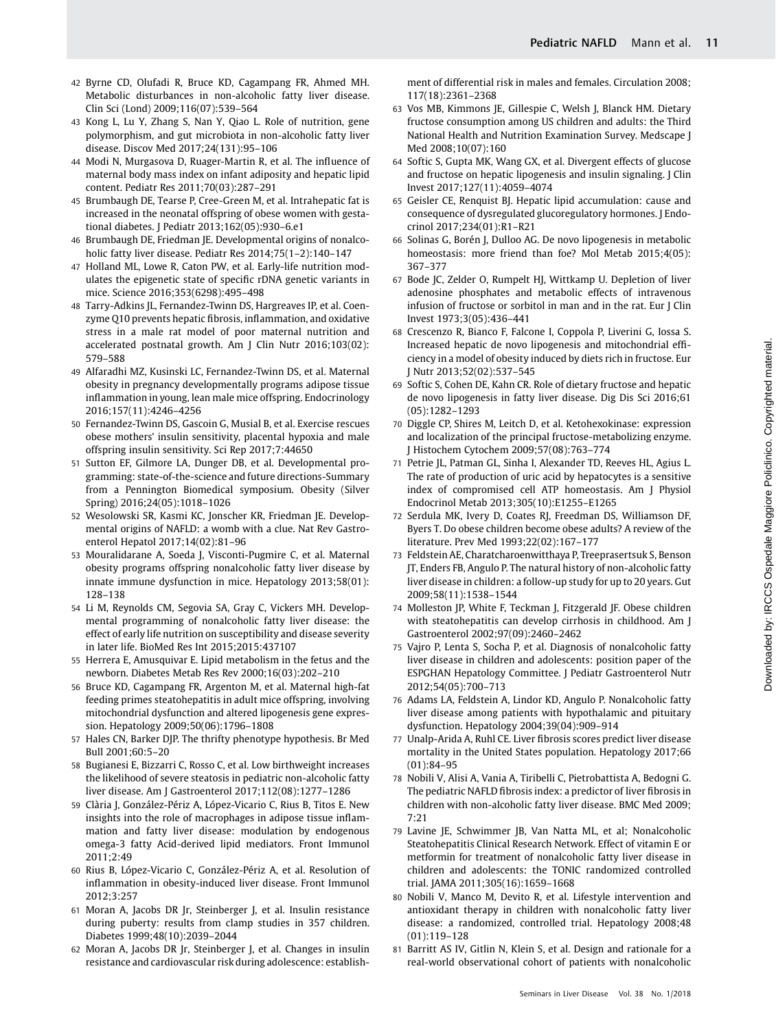- 42 Byrne CD, Olufadi R, Bruce KD, Cagampang FR, Ahmed MH. Metabolic disturbances in non-alcoholic fatty liver disease. Clin Sci (Lond) 2009;116(07):539–564
- 43 Kong L, Lu Y, Zhang S, Nan Y, Qiao L. Role of nutrition, gene polymorphism, and gut microbiota in non-alcoholic fatty liver disease. Discov Med 2017;24(131):95–106
- 44 Modi N, Murgasova D, Ruager-Martin R, et al. The influence of maternal body mass index on infant adiposity and hepatic lipid content. Pediatr Res 2011;70(03):287–291
- 45 Brumbaugh DE, Tearse P, Cree-Green M, et al. Intrahepatic fat is increased in the neonatal offspring of obese women with gestational diabetes. J Pediatr 2013;162(05):930–6.e1
- 46 Brumbaugh DE, Friedman JE. Developmental origins of nonalcoholic fatty liver disease. Pediatr Res 2014;75(1–2):140–147
- 47 Holland ML, Lowe R, Caton PW, et al. Early-life nutrition modulates the epigenetic state of specific rDNA genetic variants in mice. Science 2016;353(6298):495–498
- 48 Tarry-Adkins JL, Fernandez-Twinn DS, Hargreaves IP, et al. Coenzyme Q10 prevents hepatic fibrosis, inflammation, and oxidative stress in a male rat model of poor maternal nutrition and accelerated postnatal growth. Am J Clin Nutr 2016;103(02): 579–588
- 49 Alfaradhi MZ, Kusinski LC, Fernandez-Twinn DS, et al. Maternal obesity in pregnancy developmentally programs adipose tissue inflammation in young, lean male mice offspring. Endocrinology 2016;157(11):4246–4256
- 50 Fernandez-Twinn DS, Gascoin G, Musial B, et al. Exercise rescues obese mothers' insulin sensitivity, placental hypoxia and male offspring insulin sensitivity. Sci Rep 2017;7:44650
- 51 Sutton EF, Gilmore LA, Dunger DB, et al. Developmental programming: state-of-the-science and future directions-Summary from a Pennington Biomedical symposium. Obesity (Silver Spring) 2016;24(05):1018–1026
- 52 Wesolowski SR, Kasmi KC, Jonscher KR, Friedman JE. Developmental origins of NAFLD: a womb with a clue. Nat Rev Gastroenterol Hepatol 2017;14(02):81–96
- 53 Mouralidarane A, Soeda J, Visconti-Pugmire C, et al. Maternal obesity programs offspring nonalcoholic fatty liver disease by innate immune dysfunction in mice. Hepatology 2013;58(01): 128–138
- 54 Li M, Reynolds CM, Segovia SA, Gray C, Vickers MH. Developmental programming of nonalcoholic fatty liver disease: the effect of early life nutrition on susceptibility and disease severity in later life. BioMed Res Int 2015;2015:437107
- 55 Herrera E, Amusquivar E. Lipid metabolism in the fetus and the newborn. Diabetes Metab Res Rev 2000;16(03):202–210
- 56 Bruce KD, Cagampang FR, Argenton M, et al. Maternal high-fat feeding primes steatohepatitis in adult mice offspring, involving mitochondrial dysfunction and altered lipogenesis gene expression. Hepatology 2009;50(06):1796–1808
- 57 Hales CN, Barker DJP. The thrifty phenotype hypothesis. Br Med Bull 2001;60:5–20
- 58 Bugianesi E, Bizzarri C, Rosso C, et al. Low birthweight increases the likelihood of severe steatosis in pediatric non-alcoholic fatty liver disease. Am J Gastroenterol 2017;112(08):1277–1286
- 59 Clària J, González-Périz A, López-Vicario C, Rius B, Titos E. New insights into the role of macrophages in adipose tissue inflammation and fatty liver disease: modulation by endogenous omega-3 fatty Acid-derived lipid mediators. Front Immunol 2011;2:49
- 60 Rius B, López-Vicario C, González-Périz A, et al. Resolution of inflammation in obesity-induced liver disease. Front Immunol 2012;3:257
- 61 Moran A, Jacobs DR Jr, Steinberger J, et al. Insulin resistance during puberty: results from clamp studies in 357 children. Diabetes 1999;48(10):2039–2044
- 62 Moran A, Jacobs DR Jr, Steinberger J, et al. Changes in insulin resistance and cardiovascular risk during adolescence: establish-

ment of differential risk in males and females. Circulation 2008; 117(18):2361–2368

- 63 Vos MB, Kimmons JE, Gillespie C, Welsh J, Blanck HM. Dietary fructose consumption among US children and adults: the Third National Health and Nutrition Examination Survey. Medscape J Med 2008;10(07):160
- 64 Softic S, Gupta MK, Wang GX, et al. Divergent effects of glucose and fructose on hepatic lipogenesis and insulin signaling. J Clin Invest 2017;127(11):4059–4074
- 65 Geisler CE, Renquist BJ. Hepatic lipid accumulation: cause and consequence of dysregulated glucoregulatory hormones. J Endocrinol 2017;234(01):R1–R21
- 66 Solinas G, Borén J, Dulloo AG. De novo lipogenesis in metabolic homeostasis: more friend than foe? Mol Metab 2015;4(05): 367–377
- 67 Bode JC, Zelder O, Rumpelt HJ, Wittkamp U. Depletion of liver adenosine phosphates and metabolic effects of intravenous infusion of fructose or sorbitol in man and in the rat. Eur J Clin Invest 1973;3(05):436–441
- 68 Crescenzo R, Bianco F, Falcone I, Coppola P, Liverini G, Iossa S. Increased hepatic de novo lipogenesis and mitochondrial efficiency in a model of obesity induced by diets rich in fructose. Eur J Nutr 2013;52(02):537–545
- 69 Softic S, Cohen DE, Kahn CR. Role of dietary fructose and hepatic de novo lipogenesis in fatty liver disease. Dig Dis Sci 2016;61 (05):1282–1293
- 70 Diggle CP, Shires M, Leitch D, et al. Ketohexokinase: expression and localization of the principal fructose-metabolizing enzyme. J Histochem Cytochem 2009;57(08):763–774
- 71 Petrie JL, Patman GL, Sinha I, Alexander TD, Reeves HL, Agius L. The rate of production of uric acid by hepatocytes is a sensitive index of compromised cell ATP homeostasis. Am J Physiol Endocrinol Metab 2013;305(10):E1255–E1265
- 72 Serdula MK, Ivery D, Coates RJ, Freedman DS, Williamson DF, Byers T. Do obese children become obese adults? A review of the literature. Prev Med 1993;22(02):167–177
- 73 Feldstein AE, Charatcharoenwitthaya P, Treeprasertsuk S, Benson JT, Enders FB, Angulo P. The natural history of non-alcoholic fatty liver disease in children: a follow-up study for up to 20 years. Gut 2009;58(11):1538–1544
- 74 Molleston JP, White F, Teckman J, Fitzgerald JF. Obese children with steatohepatitis can develop cirrhosis in childhood. Am J Gastroenterol 2002;97(09):2460–2462
- 75 Vajro P, Lenta S, Socha P, et al. Diagnosis of nonalcoholic fatty liver disease in children and adolescents: position paper of the ESPGHAN Hepatology Committee. J Pediatr Gastroenterol Nutr 2012;54(05):700–713
- 76 Adams LA, Feldstein A, Lindor KD, Angulo P. Nonalcoholic fatty liver disease among patients with hypothalamic and pituitary dysfunction. Hepatology 2004;39(04):909–914
- 77 Unalp-Arida A, Ruhl CE. Liver fibrosis scores predict liver disease mortality in the United States population. Hepatology 2017;66 (01):84–95
- 78 Nobili V, Alisi A, Vania A, Tiribelli C, Pietrobattista A, Bedogni G. The pediatric NAFLD fibrosis index: a predictor of liver fibrosis in children with non-alcoholic fatty liver disease. BMC Med 2009; 7:21
- 79 Lavine JE, Schwimmer JB, Van Natta ML, et al; Nonalcoholic Steatohepatitis Clinical Research Network. Effect of vitamin E or metformin for treatment of nonalcoholic fatty liver disease in children and adolescents: the TONIC randomized controlled trial. JAMA 2011;305(16):1659–1668
- 80 Nobili V, Manco M, Devito R, et al. Lifestyle intervention and antioxidant therapy in children with nonalcoholic fatty liver disease: a randomized, controlled trial. Hepatology 2008;48 (01):119–128
- 81 Barritt AS IV, Gitlin N, Klein S, et al. Design and rationale for a real-world observational cohort of patients with nonalcoholic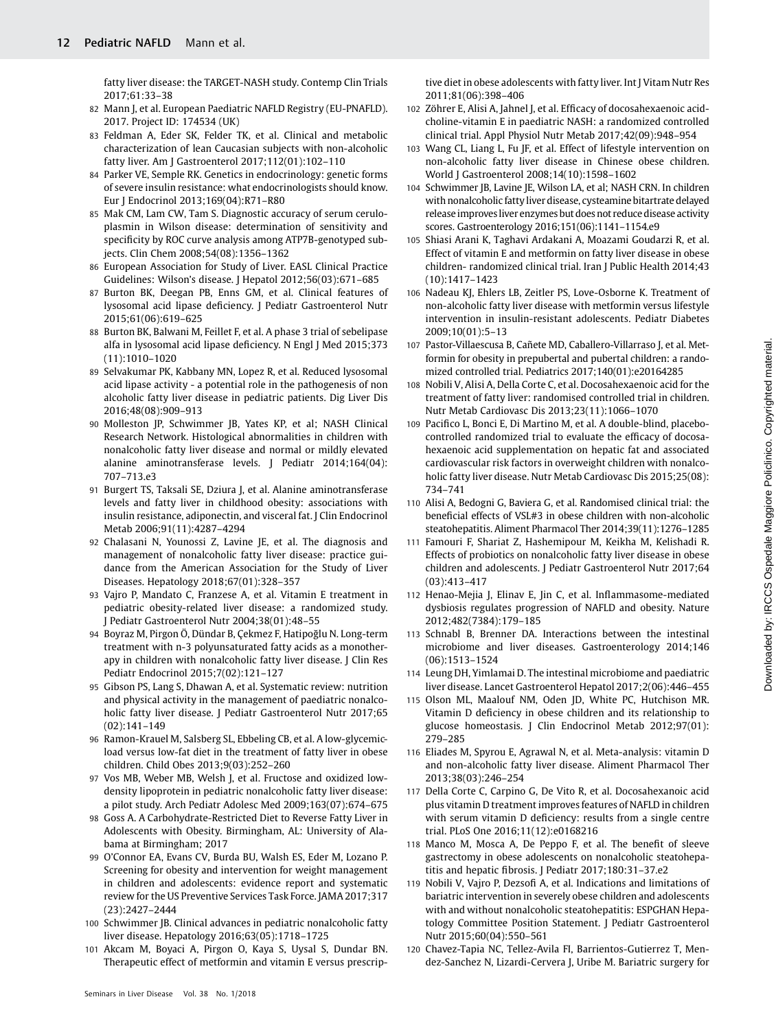fatty liver disease: the TARGET-NASH study. Contemp Clin Trials 2017;61:33–38

- 82 Mann J, et al. European Paediatric NAFLD Registry (EU-PNAFLD). 2017. Project ID: 174534 (UK)
- 83 Feldman A, Eder SK, Felder TK, et al. Clinical and metabolic characterization of lean Caucasian subjects with non-alcoholic fatty liver. Am J Gastroenterol 2017;112(01):102–110
- 84 Parker VE, Semple RK. Genetics in endocrinology: genetic forms of severe insulin resistance: what endocrinologists should know. Eur J Endocrinol 2013;169(04):R71–R80
- 85 Mak CM, Lam CW, Tam S. Diagnostic accuracy of serum ceruloplasmin in Wilson disease: determination of sensitivity and specificity by ROC curve analysis among ATP7B-genotyped subjects. Clin Chem 2008;54(08):1356–1362
- 86 European Association for Study of Liver. EASL Clinical Practice Guidelines: Wilson's disease. J Hepatol 2012;56(03):671–685
- 87 Burton BK, Deegan PB, Enns GM, et al. Clinical features of lysosomal acid lipase deficiency. J Pediatr Gastroenterol Nutr 2015;61(06):619–625
- 88 Burton BK, Balwani M, Feillet F, et al. A phase 3 trial of sebelipase alfa in lysosomal acid lipase deficiency. N Engl J Med 2015;373 (11):1010–1020
- 89 Selvakumar PK, Kabbany MN, Lopez R, et al. Reduced lysosomal acid lipase activity - a potential role in the pathogenesis of non alcoholic fatty liver disease in pediatric patients. Dig Liver Dis 2016;48(08):909–913
- 90 Molleston JP, Schwimmer JB, Yates KP, et al; NASH Clinical Research Network. Histological abnormalities in children with nonalcoholic fatty liver disease and normal or mildly elevated alanine aminotransferase levels. J Pediatr 2014;164(04): 707–713.e3
- 91 Burgert TS, Taksali SE, Dziura J, et al. Alanine aminotransferase levels and fatty liver in childhood obesity: associations with insulin resistance, adiponectin, and visceral fat. J Clin Endocrinol Metab 2006;91(11):4287–4294
- 92 Chalasani N, Younossi Z, Lavine JE, et al. The diagnosis and management of nonalcoholic fatty liver disease: practice guidance from the American Association for the Study of Liver Diseases. Hepatology 2018;67(01):328–357
- 93 Vajro P, Mandato C, Franzese A, et al. Vitamin E treatment in pediatric obesity-related liver disease: a randomized study. J Pediatr Gastroenterol Nutr 2004;38(01):48–55
- 94 Boyraz M, Pirgon Ö, Dündar B, Çekmez F, Hatipoğlu N. Long-term treatment with n-3 polyunsaturated fatty acids as a monotherapy in children with nonalcoholic fatty liver disease. J Clin Res Pediatr Endocrinol 2015;7(02):121–127
- 95 Gibson PS, Lang S, Dhawan A, et al. Systematic review: nutrition and physical activity in the management of paediatric nonalcoholic fatty liver disease. J Pediatr Gastroenterol Nutr 2017;65 (02):141–149
- 96 Ramon-Krauel M, Salsberg SL, Ebbeling CB, et al. A low-glycemicload versus low-fat diet in the treatment of fatty liver in obese children. Child Obes 2013;9(03):252–260
- 97 Vos MB, Weber MB, Welsh J, et al. Fructose and oxidized lowdensity lipoprotein in pediatric nonalcoholic fatty liver disease: a pilot study. Arch Pediatr Adolesc Med 2009;163(07):674–675
- 98 Goss A. A Carbohydrate-Restricted Diet to Reverse Fatty Liver in Adolescents with Obesity. Birmingham, AL: University of Alabama at Birmingham; 2017
- 99 O'Connor EA, Evans CV, Burda BU, Walsh ES, Eder M, Lozano P. Screening for obesity and intervention for weight management in children and adolescents: evidence report and systematic review for the US Preventive Services Task Force. JAMA 2017;317 (23):2427–2444
- 100 Schwimmer JB. Clinical advances in pediatric nonalcoholic fatty liver disease. Hepatology 2016;63(05):1718–1725
- 101 Akcam M, Boyaci A, Pirgon O, Kaya S, Uysal S, Dundar BN. Therapeutic effect of metformin and vitamin E versus prescrip-

tive diet in obese adolescents with fatty liver. Int J Vitam Nutr Res 2011;81(06):398–406

- 102 Zöhrer E, Alisi A, Jahnel J, et al. Efficacy of docosahexaenoic acidcholine-vitamin E in paediatric NASH: a randomized controlled clinical trial. Appl Physiol Nutr Metab 2017;42(09):948–954
- 103 Wang CL, Liang L, Fu JF, et al. Effect of lifestyle intervention on non-alcoholic fatty liver disease in Chinese obese children. World J Gastroenterol 2008;14(10):1598–1602
- 104 Schwimmer JB, Lavine JE, Wilson LA, et al; NASH CRN. In children with nonalcoholic fatty liver disease, cysteamine bitartrate delayed releaseimprovesliver enzymes but does not reduce disease activity scores. Gastroenterology 2016;151(06):1141–1154.e9
- 105 Shiasi Arani K, Taghavi Ardakani A, Moazami Goudarzi R, et al. Effect of vitamin E and metformin on fatty liver disease in obese children- randomized clinical trial. Iran J Public Health 2014;43 (10):1417–1423
- 106 Nadeau KJ, Ehlers LB, Zeitler PS, Love-Osborne K. Treatment of non-alcoholic fatty liver disease with metformin versus lifestyle intervention in insulin-resistant adolescents. Pediatr Diabetes 2009;10(01):5–13
- 107 Pastor-Villaescusa B, Cañete MD, Caballero-Villarraso J, et al. Metformin for obesity in prepubertal and pubertal children: a randomized controlled trial. Pediatrics 2017;140(01):e20164285
- 108 Nobili V, Alisi A, Della Corte C, et al. Docosahexaenoic acid for the treatment of fatty liver: randomised controlled trial in children. Nutr Metab Cardiovasc Dis 2013;23(11):1066–1070
- 109 Pacifico L, Bonci E, Di Martino M, et al. A double-blind, placebocontrolled randomized trial to evaluate the efficacy of docosahexaenoic acid supplementation on hepatic fat and associated cardiovascular risk factors in overweight children with nonalcoholic fatty liver disease. Nutr Metab Cardiovasc Dis 2015;25(08): 734–741
- 110 Alisi A, Bedogni G, Baviera G, et al. Randomised clinical trial: the beneficial effects of VSL#3 in obese children with non-alcoholic steatohepatitis. Aliment Pharmacol Ther 2014;39(11):1276–1285
- 111 Famouri F, Shariat Z, Hashemipour M, Keikha M, Kelishadi R. Effects of probiotics on nonalcoholic fatty liver disease in obese children and adolescents. J Pediatr Gastroenterol Nutr 2017;64 (03):413–417
- 112 Henao-Mejia J, Elinav E, Jin C, et al. Inflammasome-mediated dysbiosis regulates progression of NAFLD and obesity. Nature 2012;482(7384):179–185
- 113 Schnabl B, Brenner DA. Interactions between the intestinal microbiome and liver diseases. Gastroenterology 2014;146 (06):1513–1524
- 114 Leung DH, Yimlamai D. The intestinal microbiome and paediatric liver disease. Lancet Gastroenterol Hepatol 2017;2(06):446–455
- 115 Olson ML, Maalouf NM, Oden JD, White PC, Hutchison MR. Vitamin D deficiency in obese children and its relationship to glucose homeostasis. J Clin Endocrinol Metab 2012;97(01): 279–285
- 116 Eliades M, Spyrou E, Agrawal N, et al. Meta-analysis: vitamin D and non-alcoholic fatty liver disease. Aliment Pharmacol Ther 2013;38(03):246–254
- 117 Della Corte C, Carpino G, De Vito R, et al. Docosahexanoic acid plus vitamin D treatment improves features of NAFLD in children with serum vitamin D deficiency: results from a single centre trial. PLoS One 2016;11(12):e0168216
- 118 Manco M, Mosca A, De Peppo F, et al. The benefit of sleeve gastrectomy in obese adolescents on nonalcoholic steatohepatitis and hepatic fibrosis. J Pediatr 2017;180:31–37.e2
- 119 Nobili V, Vajro P, Dezsofi A, et al. Indications and limitations of bariatric intervention in severely obese children and adolescents with and without nonalcoholic steatohepatitis: ESPGHAN Hepatology Committee Position Statement. J Pediatr Gastroenterol Nutr 2015;60(04):550–561
- 120 Chavez-Tapia NC, Tellez-Avila FI, Barrientos-Gutierrez T, Mendez-Sanchez N, Lizardi-Cervera J, Uribe M. Bariatric surgery for